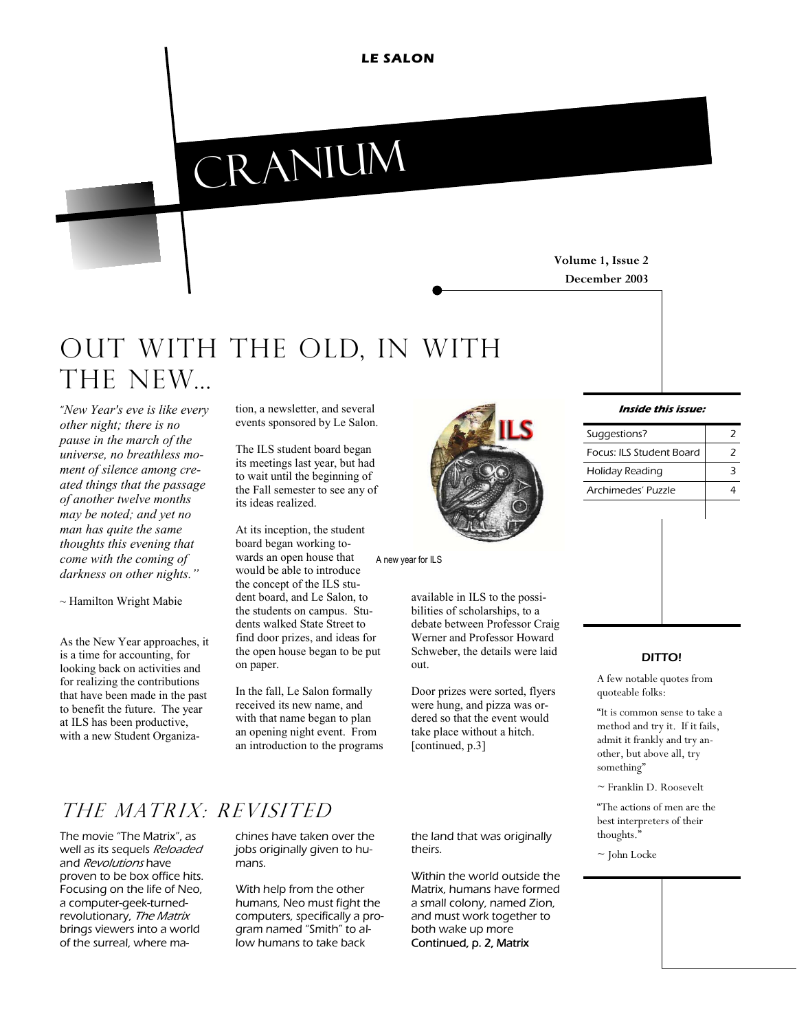**LE SALON** 

# cranium

#### **Volume 1, Issue 2 December 2003**

# Out with the old, in with THE NEW...

"*New Year's eve is like every other night; there is no pause in the march of the universe, no breathless moment of silence among created things that the passage of another twelve months may be noted; and yet no man has quite the same thoughts this evening that come with the coming of darkness on other nights."*

*~* Hamilton Wright Mabie

As the New Year approaches, it is a time for accounting, for looking back on activities and for realizing the contributions that have been made in the past to benefit the future. The year at ILS has been productive, with a new Student Organization, a newsletter, and several events sponsored by Le Salon.

The ILS student board began its meetings last year, but had to wait until the beginning of the Fall semester to see any of its ideas realized.

At its inception, the student board began working towards an open house that would be able to introduce the concept of the ILS student board, and Le Salon, to the students on campus. Students walked State Street to find door prizes, and ideas for the open house began to be put on paper. A new year for ILS

In the fall, Le Salon formally received its new name, and with that name began to plan an opening night event. From an introduction to the programs



available in ILS to the possibilities of scholarships, to a debate between Professor Craig Werner and Professor Howard Schweber, the details were laid out.

Door prizes were sorted, flyers were hung, and pizza was ordered so that the event would take place without a hitch. [continued, p.3]

## The matrix: revisited

The movie "The Matrix", as well as its sequels Reloaded and Revolutions have proven to be box office hits. Focusing on the life of Neo, a computer-geek-turnedrevolutionary, The Matrix brings viewers into a world of the surreal, where ma-

chines have taken over the jobs originally given to humans.

With help from the other humans, Neo must fight the computers, specifically a program named "Smith" to allow humans to take back

the land that was originally theirs.

Within the world outside the Matrix, humans have formed a small colony, named Zion, and must work together to both wake up more Continued, p. 2, Matrix

#### **Inside this issue:**

| Suggestions?             |  |
|--------------------------|--|
| Focus: ILS Student Board |  |
| Holiday Reading          |  |
| Archimedes' Puzzle       |  |
|                          |  |

#### DITTO!

A few notable quotes from quoteable folks:

"It is common sense to take a method and try it. If it fails, admit it frankly and try another, but above all, try something"

 $\sim$  Franklin D. Roosevelt

"The actions of men are the best interpreters of their thoughts."

 $\sim$  John Locke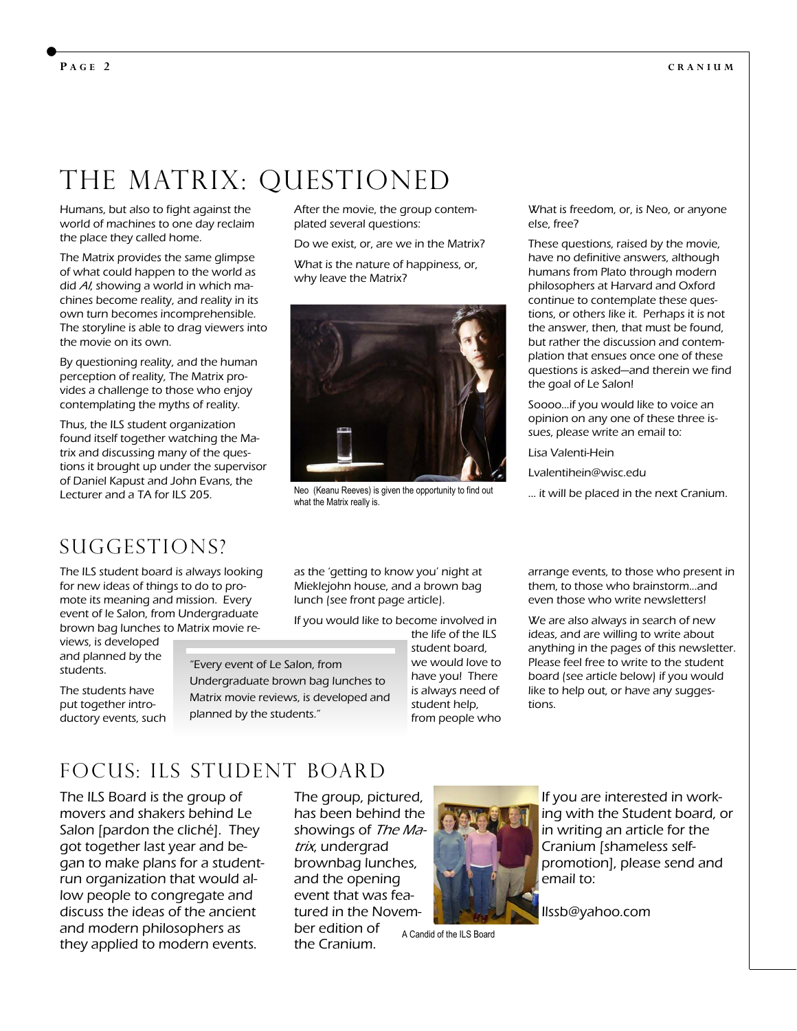# THE MATRIX: QUESTIONED

Humans, but also to fight against the world of machines to one day reclaim the place they called home.

The Matrix provides the same glimpse of what could happen to the world as did AI, showing a world in which machines become reality, and reality in its own turn becomes incomprehensible. The storyline is able to drag viewers into the movie on its own.

By questioning reality, and the human perception of reality, The Matrix provides a challenge to those who enjoy contemplating the myths of reality.

Thus, the ILS student organization found itself together watching the Matrix and discussing many of the questions it brought up under the supervisor of Daniel Kapust and John Evans, the Lecturer and a TA for ILS 205.

After the movie, the group contemplated several questions:

Do we exist, or, are we in the Matrix?

What is the nature of happiness, or, why leave the Matrix?



Neo (Keanu Reeves) is given the opportunity to find out what the Matrix really is.

What is freedom, or, is Neo, or anyone else, free?

These questions, raised by the movie, have no definitive answers, although humans from Plato through modern philosophers at Harvard and Oxford continue to contemplate these questions, or others like it. Perhaps it is not the answer, then, that must be found, but rather the discussion and contemplation that ensues once one of these questions is asked—and therein we find the goal of Le Salon!

Soooo...if you would like to voice an opinion on any one of these three issues, please write an email to:

Lisa Valenti-Hein

Lvalentihein@wisc.edu

... it will be placed in the next Cranium.

## SUGGESTIONS?

The ILS student board is always looking for new ideas of things to do to promote its meaning and mission. Every event of le Salon, from Undergraduate brown bag lunches to Matrix movie re-

views, is developed and planned by the students.

The students have put together introductory events, such as the 'getting to know you' night at Mieklejohn house, and a brown bag lunch (see front page article).

If you would like to become involved in

"Every event of Le Salon, from Undergraduate brown bag lunches to Matrix movie reviews, is developed and planned by the students."

the life of the ILS student board, we would love to have you! There is always need of student help, from people who

arrange events, to those who present in them, to those who brainstorm...and even those who write newsletters!

We are also always in search of new ideas, and are willing to write about anything in the pages of this newsletter. Please feel free to write to the student board (see article below) if you would like to help out, or have any suggestions.

## Focus: ils student board

The ILS Board is the group of movers and shakers behind Le Salon [pardon the cliché]. They got together last year and began to make plans for a studentrun organization that would allow people to congregate and discuss the ideas of the ancient and modern philosophers as they applied to modern events.

The group, pictured, has been behind the showings of The Matrix, undergrad brownbag lunches, and the opening event that was featured in the November edition of the Cranium. A Candid of the ILS Board



If you are interested in working with the Student board, or in writing an article for the Cranium [shameless selfpromotion], please send and email to:

Ilssb@yahoo.com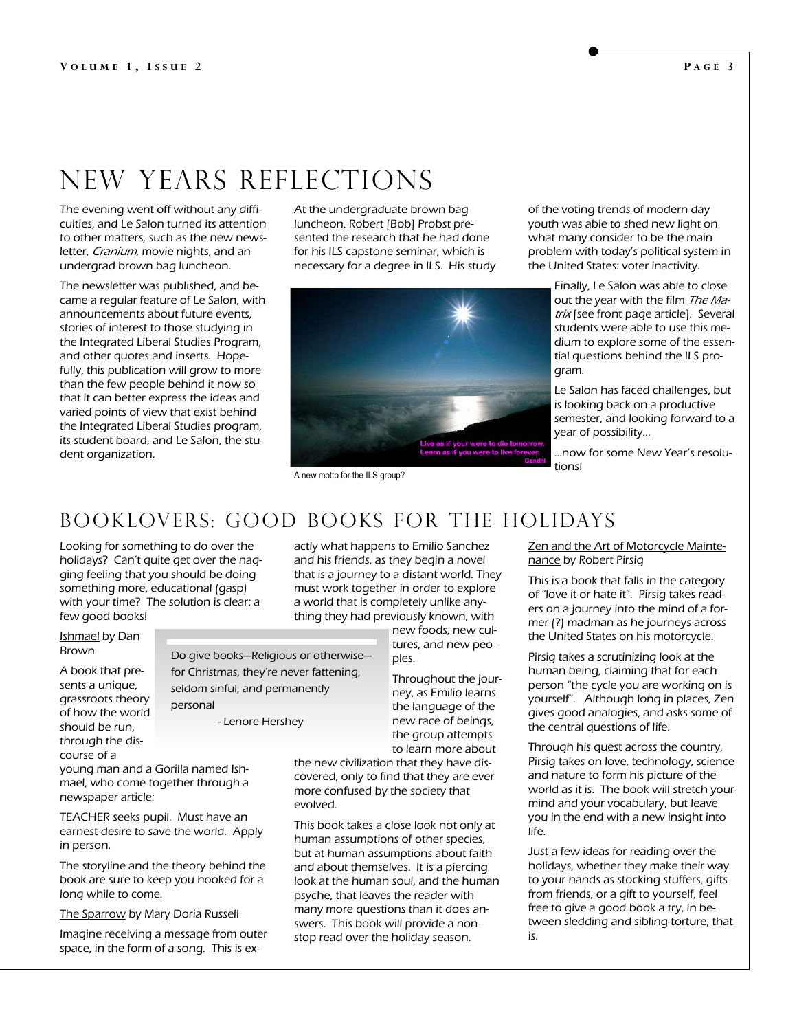# New years reflections

The evening went off without any difficulties, and Le Salon turned its attention to other matters, such as the new newsletter, Cranium, movie nights, and an undergrad brown bag luncheon.

The newsletter was published, and became a regular feature of Le Salon, with announcements about future events, stories of interest to those studying in the Integrated Liberal Studies Program, and other quotes and inserts. Hopefully, this publication will grow to more than the few people behind it now so that it can better express the ideas and varied points of view that exist behind the Integrated Liberal Studies program, its student board, and Le Salon, the student organization.

At the undergraduate brown bag luncheon, Robert [Bob] Probst presented the research that he had done for his ILS capstone seminar, which is necessary for a degree in ILS. His study



A new motto for the ILS group?

of the voting trends of modern day youth was able to shed new light on what many consider to be the main problem with today's political system in the United States: voter inactivity.

> Finally, Le Salon was able to close out the year with the film The Matrix [see front page article]. Several students were able to use this medium to explore some of the essential questions behind the ILS program.

Le Salon has faced challenges, but is looking back on a productive semester, and looking forward to a year of possibility…

...now for some New Year's resolutions!

### Booklovers: good books for the holidays

Looking for something to do over the holidays? Can't quite get over the nagging feeling that you should be doing something more, educational (gasp) with your time? The solution is clear: a few good books!

Ishmael by Dan Brown

A book that presents a unique, grassroots theory of how the world should be run, through the discourse of a

personal - Lenore Hershey

Do give books—Religious or otherwise for Christmas, they're never fattening, seldom sinful, and permanently

young man and a Gorilla named Ishmael, who come together through a newspaper article:

TEACHER seeks pupil. Must have an earnest desire to save the world. Apply in person.

The storyline and the theory behind the book are sure to keep you hooked for a long while to come.

The Sparrow by Mary Doria Russell

Imagine receiving a message from outer space, in the form of a song. This is exactly what happens to Emilio Sanchez and his friends, as they begin a novel that is a journey to a distant world. They must work together in order to explore a world that is completely unlike anything they had previously known, with

> new foods, new cultures, and new peoples.

Throughout the journey, as Emilio learns the language of the new race of beings, the group attempts to learn more about

the new civilization that they have discovered, only to find that they are ever more confused by the society that evolved.

This book takes a close look not only at human assumptions of other species, but at human assumptions about faith and about themselves. It is a piercing look at the human soul, and the human psyche, that leaves the reader with many more questions than it does answers. This book will provide a nonstop read over the holiday season.

Zen and the Art of Motorcycle Maintenance by Robert Pirsig

This is a book that falls in the category of "love it or hate it". Pirsig takes readers on a journey into the mind of a former (?) madman as he journeys across the United States on his motorcycle.

Pirsig takes a scrutinizing look at the human being, claiming that for each person "the cycle you are working on is yourself". Although long in places, Zen gives good analogies, and asks some of the central questions of life.

Through his quest across the country, Pirsig takes on love, technology, science and nature to form his picture of the world as it is. The book will stretch your mind and your vocabulary, but leave you in the end with a new insight into life.

Just a few ideas for reading over the holidays, whether they make their way to your hands as stocking stuffers, gifts from friends, or a gift to yourself, feel free to give a good book a try, in between sledding and sibling-torture, that is.